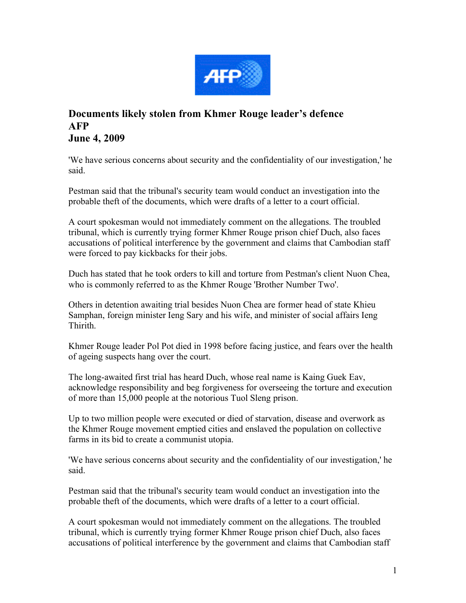

## **Documents likely stolen from Khmer Rouge leader's defence AFP June 4, 2009**

'We have serious concerns about security and the confidentiality of our investigation,' he said.

Pestman said that the tribunal's security team would conduct an investigation into the probable theft of the documents, which were drafts of a letter to a court official.

A court spokesman would not immediately comment on the allegations. The troubled tribunal, which is currently trying former Khmer Rouge prison chief Duch, also faces accusations of political interference by the government and claims that Cambodian staff were forced to pay kickbacks for their jobs.

Duch has stated that he took orders to kill and torture from Pestman's client Nuon Chea, who is commonly referred to as the Khmer Rouge 'Brother Number Two'.

Others in detention awaiting trial besides Nuon Chea are former head of state Khieu Samphan, foreign minister Ieng Sary and his wife, and minister of social affairs Ieng Thirith.

Khmer Rouge leader Pol Pot died in 1998 before facing justice, and fears over the health of ageing suspects hang over the court.

The long-awaited first trial has heard Duch, whose real name is Kaing Guek Eav, acknowledge responsibility and beg forgiveness for overseeing the torture and execution of more than 15,000 people at the notorious Tuol Sleng prison.

Up to two million people were executed or died of starvation, disease and overwork as the Khmer Rouge movement emptied cities and enslaved the population on collective farms in its bid to create a communist utopia.

'We have serious concerns about security and the confidentiality of our investigation,' he said.

Pestman said that the tribunal's security team would conduct an investigation into the probable theft of the documents, which were drafts of a letter to a court official.

A court spokesman would not immediately comment on the allegations. The troubled tribunal, which is currently trying former Khmer Rouge prison chief Duch, also faces accusations of political interference by the government and claims that Cambodian staff